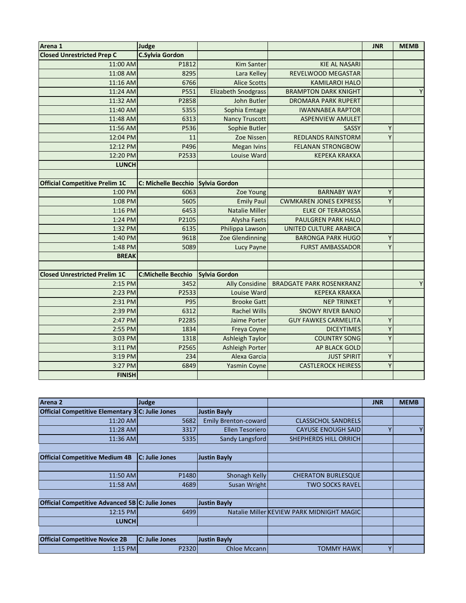| Arena 1                               |                           |                            |                                 | <b>JNR</b> | <b>MEMB</b> |
|---------------------------------------|---------------------------|----------------------------|---------------------------------|------------|-------------|
|                                       | Judge                     |                            |                                 |            |             |
| <b>Closed Unrestricted Prep C</b>     | <b>C.Sylvia Gordon</b>    |                            |                                 |            |             |
| 11:00 AM                              | P1812                     | <b>Kim Santer</b>          | <b>KIE AL NASARI</b>            |            |             |
| 11:08 AM                              | 8295                      | Lara Kelley                | REVELWOOD MEGASTAR              |            |             |
| 11:16 AM                              | 6766                      | <b>Alice Scotts</b>        | <b>KAMILAROI HALO</b>           |            |             |
| 11:24 AM                              | P551                      | <b>Elizabeth Snodgrass</b> | <b>BRAMPTON DARK KNIGHT</b>     |            | Y           |
| 11:32 AM                              | P2858                     | John Butler                | <b>DROMARA PARK RUPERT</b>      |            |             |
| 11:40 AM                              | 5355                      | Sophia Emtage              | <b>IWANNABEA RAPTOR</b>         |            |             |
| 11:48 AM                              | 6313                      | <b>Nancy Truscott</b>      | <b>ASPENVIEW AMULET</b>         |            |             |
| 11:56 AM                              | P536                      | Sophie Butler              | SASSY                           | Υ          |             |
| 12:04 PM                              | 11                        | Zoe Nissen                 | <b>REDLANDS RAINSTORM</b>       | Y          |             |
| 12:12 PM                              | P496                      | <b>Megan Ivins</b>         | <b>FELANAN STRONGBOW</b>        |            |             |
| 12:20 PM                              | P2533                     | Louise Ward                | <b>KEPEKA KRAKKA</b>            |            |             |
| <b>LUNCH</b>                          |                           |                            |                                 |            |             |
|                                       |                           |                            |                                 |            |             |
| <b>Official Competitive Prelim 1C</b> | C: Michelle Becchio       | Sylvia Gordon              |                                 |            |             |
| $1:00$ PM                             | 6063                      | Zoe Young                  | <b>BARNABY WAY</b>              | Y          |             |
| 1:08 PM                               | 5605                      | <b>Emily Paul</b>          | <b>CWMKAREN JONES EXPRESS</b>   | Y          |             |
| 1:16 PM                               | 6453                      | <b>Natalie Miller</b>      | <b>ELKE OF TERAROSSA</b>        |            |             |
| 1:24 PM                               | P2105                     | Alysha Faets               | PAULGREN PARK HALO              |            |             |
| 1:32 PM                               | 6135                      | Philippa Lawson            | UNITED CULTURE ARABICA          |            |             |
| 1:40 PM                               | 9618                      | Zoe Glendinning            | <b>BARONGA PARK HUGO</b>        | Y          |             |
| 1:48 PM                               | 5089                      | Lucy Payne                 | <b>FURST AMBASSADOR</b>         | Y          |             |
| <b>BREAK</b>                          |                           |                            |                                 |            |             |
|                                       |                           |                            |                                 |            |             |
| <b>Closed Unrestricted Prelim 1C</b>  | <b>C:Michelle Becchio</b> | <b>Sylvia Gordon</b>       |                                 |            |             |
| 2:15 PM                               | 3452                      | <b>Ally Considine</b>      | <b>BRADGATE PARK ROSENKRANZ</b> |            | Y           |
| 2:23 PM                               | P2533                     | Louise Ward                | <b>KEPEKA KRAKKA</b>            |            |             |
| 2:31 PM                               | <b>P95</b>                | <b>Brooke Gatt</b>         | <b>NEP TRINKET</b>              | Υ          |             |
| 2:39 PM                               | 6312                      | <b>Rachel Wills</b>        | <b>SNOWY RIVER BANJO</b>        |            |             |
| 2:47 PM                               | P2285                     | Jaime Porter               | <b>GUY FAWKES CARMELITA</b>     | Y          |             |
| 2:55 PM                               | 1834                      | Freya Coyne                | <b>DICEYTIMES</b>               | Y          |             |
| 3:03 PM                               | 1318                      | <b>Ashleigh Taylor</b>     | <b>COUNTRY SONG</b>             | Υ          |             |
| 3:11 PM                               | P2565                     | <b>Ashleigh Porter</b>     | AP BLACK GOLD                   |            |             |
| 3:19 PM                               | 234                       | Alexa Garcia               | <b>JUST SPIRIT</b>              | Υ          |             |
| 3:27 PM                               | 6849                      | <b>Yasmin Coyne</b>        | <b>CASTLEROCK HEIRESS</b>       | Y          |             |
| <b>FINISH</b>                         |                           |                            |                                 |            |             |
|                                       |                           |                            |                                 |            |             |

| Arena 2                                          | Judge          |                             |                                           | <b>JNR</b> | <b>MEMB</b> |
|--------------------------------------------------|----------------|-----------------------------|-------------------------------------------|------------|-------------|
| Official Competitive Elementary 3 C: Julie Jones |                | <b>Justin Bayly</b>         |                                           |            |             |
| 11:20 AM                                         | 5682           | <b>Emily Brenton-coward</b> | <b>CLASSICHOL SANDRELS</b>                |            |             |
| 11:28 AM                                         | 3317           | Ellen Tesoriero             | <b>CAYUSE ENOUGH SAID</b>                 | ٧          | Y.          |
| 11:36 AM                                         | 5335           | Sandy Langsford             | SHEPHERDS HILL ORRICH                     |            |             |
|                                                  |                |                             |                                           |            |             |
| <b>Official Competitive Medium 4B</b>            | C: Julie Jones | <b>Justin Bayly</b>         |                                           |            |             |
|                                                  |                |                             |                                           |            |             |
| 11:50 AM                                         | P1480          | Shonagh Kelly               | <b>CHERATON BURLESQUE</b>                 |            |             |
| 11:58 AM                                         | 4689           | Susan Wright                | <b>TWO SOCKS RAVEL</b>                    |            |             |
|                                                  |                |                             |                                           |            |             |
| Official Competitive Advanced 5B C: Julie Jones  |                | <b>Justin Bayly</b>         |                                           |            |             |
| 12:15 PM                                         | 6499           |                             | Natalie Miller KEVIEW PARK MIDNIGHT MAGIC |            |             |
| <b>LUNCH</b>                                     |                |                             |                                           |            |             |
|                                                  |                |                             |                                           |            |             |
| <b>Official Competitive Novice 2B</b>            | C: Julie Jones | <b>Justin Bayly</b>         |                                           |            |             |
| $1:15$ PM                                        | P2320          | <b>Chloe Mccann</b>         | <b>TOMMY HAWK</b>                         | ٧          |             |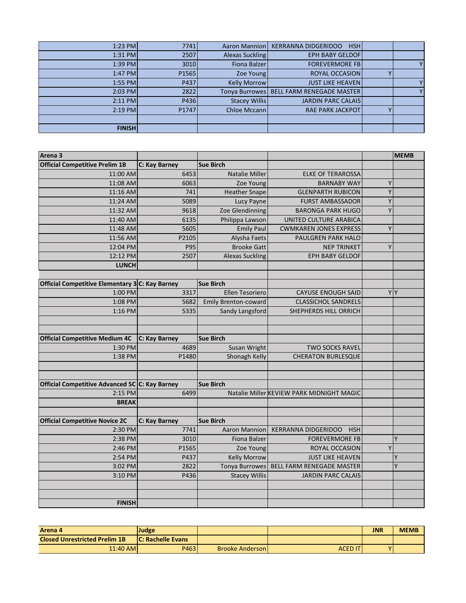|  | Aaron Mannion   KERRANNA DIDGERIDOO<br><b>HSH</b> |                      | 7741  | $1:23$ PM     |
|--|---------------------------------------------------|----------------------|-------|---------------|
|  | <b>EPH BABY GELDOFI</b>                           | Alexas Suckling      | 2507  | $1:31$ PM     |
|  | <b>FOREVERMORE FB</b>                             | Fiona Balzer         | 3010  | $1:39$ PM     |
|  | <b>ROYAL OCCASION</b>                             | Zoe Young            | P1565 | $1:47$ PM     |
|  | <b>JUST LIKE HEAVEN</b>                           | <b>Kelly Morrow</b>  | P437  | $1:55$ PM     |
|  | Tonya Burrowes   BELL FARM RENEGADE MASTER        |                      | 2822  | $2:03$ PM     |
|  | <b>JARDIN PARC CALAIS</b>                         | <b>Stacey Willis</b> | P436  | $2:11$ PM     |
|  | <b>RAE PARK JACKPOT</b>                           | Chloe Mccann         | P1747 | $2:19$ PM     |
|  |                                                   |                      |       |               |
|  |                                                   |                      |       | <b>FINISH</b> |

| Arena 3                                         |               |                             |                                           |    | <b>MEMB</b> |
|-------------------------------------------------|---------------|-----------------------------|-------------------------------------------|----|-------------|
| <b>Official Competitive Prelim 1B</b>           | C: Kay Barney | <b>Sue Birch</b>            |                                           |    |             |
| 11:00 AM                                        | 6453          | <b>Natalie Miller</b>       | <b>ELKE OF TERAROSSA</b>                  |    |             |
| 11:08 AM                                        | 6063          | Zoe Young                   | <b>BARNABY WAY</b>                        | Y  |             |
| 11:16 AM                                        | 741           | <b>Heather Snape</b>        | <b>GLENPARTH RUBICON</b>                  | Y  |             |
| 11:24 AM                                        | 5089          | Lucy Payne                  | <b>FURST AMBASSADOR</b>                   | Y  |             |
| 11:32 AM                                        | 9618          | Zoe Glendinning             | <b>BARONGA PARK HUGO</b>                  | Y  |             |
| 11:40 AM                                        | 6135          | Philippa Lawson             | UNITED CULTURE ARABICA                    |    |             |
| 11:48 AM                                        | 5605          | <b>Emily Paul</b>           | <b>CWMKAREN JONES EXPRESS</b>             | Y  |             |
| 11:56 AM                                        | P2105         | Alysha Faets                | PAULGREN PARK HALO                        |    |             |
| 12:04 PM                                        | P95           | <b>Brooke Gatt</b>          | <b>NEP TRINKET</b>                        | Y  |             |
| 12:12 PM                                        | 2507          | <b>Alexas Suckling</b>      | EPH BABY GELDOF                           |    |             |
| <b>LUNCH</b>                                    |               |                             |                                           |    |             |
|                                                 |               |                             |                                           |    |             |
| Official Competitive Elementary 3 C: Kay Barney |               | <b>Sue Birch</b>            |                                           |    |             |
| 1:00 PM                                         | 3317          | <b>Ellen Tesoriero</b>      | <b>CAYUSE ENOUGH SAID</b>                 | YY |             |
| 1:08 PM                                         | 5682          | <b>Emily Brenton-coward</b> | <b>CLASSICHOL SANDRELS</b>                |    |             |
| 1:16 PM                                         | 5335          | Sandy Langsford             | SHEPHERDS HILL ORRICH                     |    |             |
|                                                 |               |                             |                                           |    |             |
|                                                 |               |                             |                                           |    |             |
| <b>Official Competitive Medium 4C</b>           | C: Kay Barney | <b>Sue Birch</b>            |                                           |    |             |
| 1:30 PM                                         | 4689          | Susan Wright                | <b>TWO SOCKS RAVEL</b>                    |    |             |
| 1:38 PM                                         | P1480         | Shonagh Kelly               | <b>CHERATON BURLESQUE</b>                 |    |             |
|                                                 |               |                             |                                           |    |             |
|                                                 |               |                             |                                           |    |             |
| Official Competitive Advanced 5C C: Kay Barney  |               | <b>Sue Birch</b>            |                                           |    |             |
| 2:15 PM                                         | 6499          |                             | Natalie Miller KEVIEW PARK MIDNIGHT MAGIC |    |             |
| <b>BREAK</b>                                    |               |                             |                                           |    |             |
|                                                 |               |                             |                                           |    |             |
| <b>Official Competitive Novice 2C</b>           | C: Kay Barney | <b>Sue Birch</b>            |                                           |    |             |
| 2:30 PM                                         | 7741          | <b>Aaron Mannion</b>        | <b>KERRANNA DIDGERIDOO</b><br><b>HSH</b>  |    |             |
| 2:38 PM                                         | 3010          | <b>Fiona Balzer</b>         | <b>FOREVERMORE FB</b>                     |    | Y           |
| 2:46 PM                                         | P1565         | Zoe Young                   | ROYAL OCCASION                            | Y  |             |
| 2:54 PM                                         | P437          | <b>Kelly Morrow</b>         | <b>JUST LIKE HEAVEN</b>                   |    | Y           |
| 3:02 PM                                         | 2822          | Tonya Burrowes              | BELL FARM RENEGADE MASTER                 |    | Y           |
| 3:10 PM                                         | P436          | <b>Stacey Willis</b>        | <b>JARDIN PARC CALAIS</b>                 |    |             |
|                                                 |               |                             |                                           |    |             |
|                                                 |               |                             |                                           |    |             |
| <b>FINISH</b>                                   |               |                             |                                           |    |             |

| Arena 4                              | Judge                    |                        |                | JNR | <b>MEMB</b> |
|--------------------------------------|--------------------------|------------------------|----------------|-----|-------------|
| <b>Closed Unrestricted Prelim 1B</b> | <b>C: Rachelle Evans</b> |                        |                |     |             |
| 11:40 AM                             | P463                     | <b>Brooke Anderson</b> | <b>ACED IT</b> | v   |             |